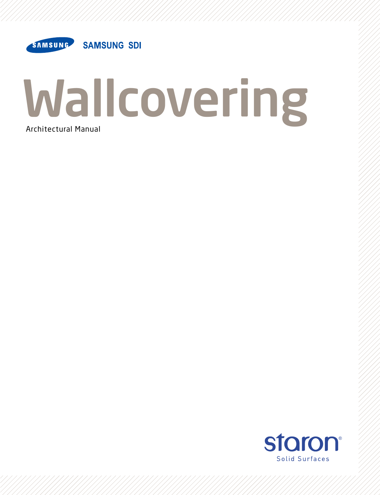

# Wallcovering Architectural Manual

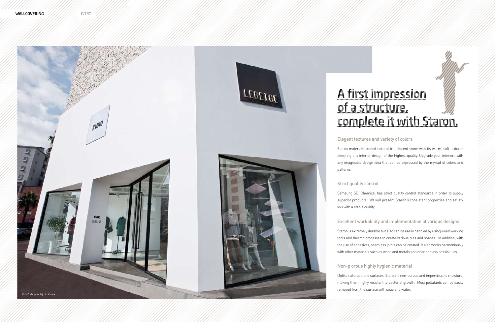#### Elegant textures and variety of colors

Staron materials exceed natural translucent stone with its warm, soft textures elevating any interior design of the highest quality. Upgrade your interiors with any imaginable design idea that can be expressed by the myriad of colors and

Samsung SDI Chemical has strict quality control standards in order to supply superior products. We will present Staron's consistent properties and satisfy

#### Excellent workability and implementation of various designs

**Wallcovering** ////////// Intro



# A firet impression of a structure, complete it is not the starting

Staron is extremely durable but also can be easily handled by using wood working tools and thermo processes to create various cuts and shapes. In addition, with the use of adhesives, seamless joints can be created. It also works harmoniously with other materials such as wood and metals and offer endless possibilities.

#### Non-p orous highly hygienic material

Unlike natural stone surfaces, Staron is non-porous and impervious to moisture, making them highly resistant to bacterial growth. Most pollutants can be easily removed from the surface with soap and water.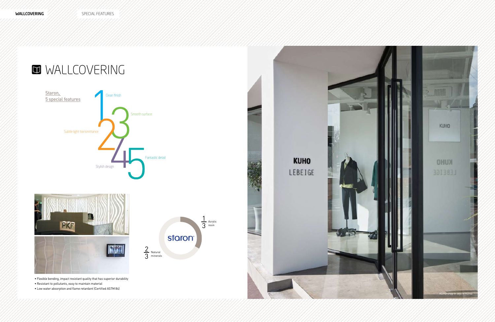## **MINALLCOVERING**







• Flexible bending, impact resistant quality that has superior durability

- Resistant to pollutants, easy to maintain material
- Low water absorption and flame retardant (Certified ASTM 84)

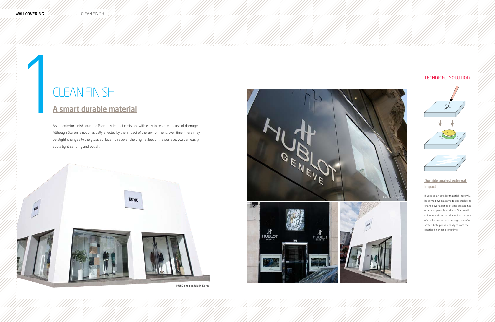# CLEAN FINISH<br>A smart durable material<br>As an exterior finish, durable Staron is impact resistan clean finish

As an exterior finish, durable Staron is impact resistant with easy to restore in case of damages. Although Staron is not physically affected by the impact of the environment, over time, there may be slight changes to the gloss surface. To recover the original feel of the surface, you can easily apply light sanding and polish.

#### Durable against external impact

If used as an exterior material there will be some physical damage and subject to change over a period of time but against other comparable products, Staron will shine as a strong durable option. In case of cracks and surface damage, use of a scotch-brite pad can easily restore the exterior finish for a long time.





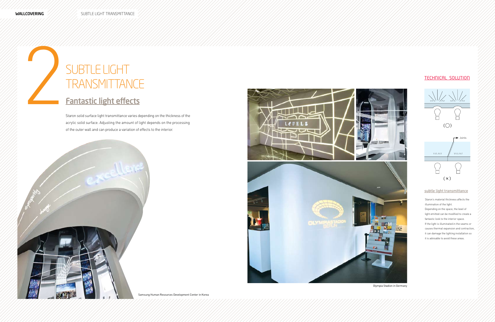# Fantastic light effects 2subtle light **TRANSMITTANCE**

Staron solid surface light transmittance varies depending on the thickness of the acrylic solid surface. Adjusting the amount of light depends on the processing of the outer wall and can produce a variation of effects to the interior.





#### subtle light transmittance

Staron's material thickness affects the illumination of the light.

Depending on the space, the level of light emitted can be modified to create a fantastic look to the interior space. If the light is illuminated in the seams or causes thermal expansion and contraction, it can damage the lighting installation so it is advisable to avoid these areas.



Samsung Human Resources Development Center in Korea



#### Olympia Stadion in Germany

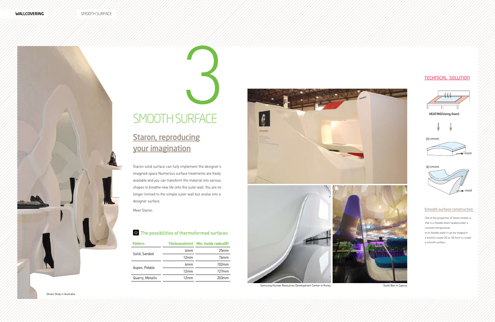

## **Staron, reproducing** your imagination

# Smooth Surface 3

Staron solid surface can fully implement the designer's imagined space.Numerous surface treatments are freely available and you can transform the material into various shapes to breathe new life onto the outer wall. You are no longer limited to the simple outer wall but evolve into a designer surface.

Meet Staron.

#### $\bullet$  The possibilities of thermoformed surfaces

| <b>Pattern</b>   |                 | Thickness(mm) Min. Inside radius(R) |
|------------------|-----------------|-------------------------------------|
| Solid, Sanded    | 6mm             | 25mm                                |
|                  | 12mm            | 76 <sub>mm</sub>                    |
| Aspen, Pebble    | 6 <sub>mm</sub> | 102mm                               |
|                  | 12mm            | $127$ mm                            |
| Quarry, Metallic | 12mm            | 203mm                               |





Samsung Human Resources Development Center in Korea Sushi Bar in Cyprus Sushi Bar in Cyprus

#### Smooth surface construction

One of the properties of Staron sheets is that it is flexible when heated under a constant temperature.

In its flexible state it can be shaped in a mold to create 2D or 3D form to create a smooth surface.





2D process





Shoes Shop in Australia

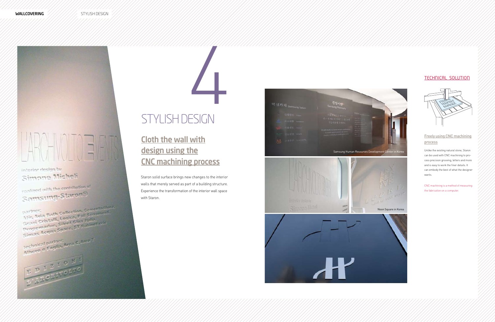wallcovering

#### interior design by Simone Micheli

realized with the contribution of Samsung-Staron®

partner:<br>31tir, <sup>3</sup>xia Bath Collection, Cementodilung.<br>31tir, 3xia Bath Logica, Pail Serramenti. partner:<br>Atir, Avia Bath Collection, Cementodium<br>Grazi Cristalli, Logica, Pall Serramenti,<br>Grazi Cristalli, Silent Gliss Italia, partner Atin, Avia Bath, Logica, Pail Serrar<br>Grazi Gristalli, Logica, Bilss Italia,<br>Programadue, Silent Gliss Italia, Grazi Cristalli, Logical<br>Grazi Cristalli, Silent Gliss Italia.<br>Progremadue, Silent Gliss Italia.<br>Simas Acqua Space. ST Rubinetterie.

Simas Acqua Space.<br>technical partner:<br>Albero e Foglia, Area C, Area T.



**Cloth the wall with**<br> **design using the**<br> **CNC machining process**<br>
Staron solid surface brings new changes to the inter<br>
walls that merely served as part of a building struct<br>
Experience the transformation of the interior design using the CONTROLLER STYLISH DESIGN<br>
STYLISH DESIGN<br>
<u>Cloth the wall with</u><br>
<u>CNC machining process</u>

Staron solid surface brings new changes to the interior walls that merely served as part of a building structure. Experience the transformation of the interior wall space

#### Freely using CNC machining process

Unlike the existing natural stone, Staron can be used with CNC machining to pro cess precision grooving, letters and more and is easy to work the finer details. It can embody the best of what the designer wants.

CNC machining is a method of measuring the fabrication on a computer.



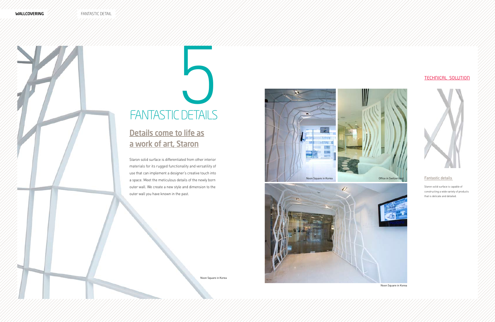

# FANTASTIC DETAILS

Staron solid surface is differentiated from other interior materials for its rugged functionality and versatility of use that can implement a designer's creative touch into a space. Meet the meticulous details of the newly born outer wall. We create a new style and dimension to the outer wall you have known in the past.

#### Fantastic details

Staron solid surface is capable of constructing a wide variety of products that is delicate and detailed.





## Details come to life as a work of art, Staron

Noon Square in Korea

Noon Square in Korea





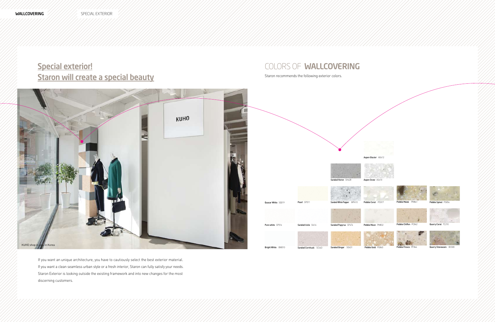## Special exterior! **Staron will create a special beauty**

If you want an unique architecture, you have to cautiously select the best exterior material. If you want a clean seamless urban style or a fresh interior, Staron can fully satisfy your needs. Staron Exterior is looking outside the existing framework and into new changes for the most discerning customers.

#### colorS of wallcovering

Staron recommends the following exterior colors.







Aspen Snow AS610





Pebble Maize PM841



Pebble Moon PM832



Pebble Gold PG840

Pebble Chiffon PC842



Pebble Fresco PF844



hble Spinel PS85



Quarry Coral TC210



Quarry Stoneware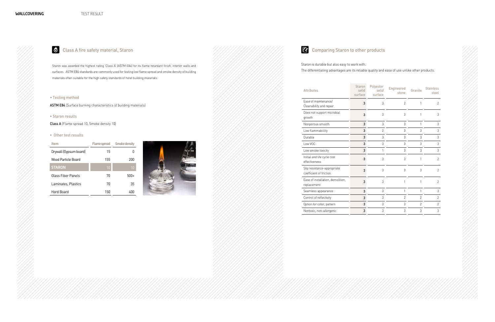#### • Testing method

ASTM E84 (Surface burning characteristics of building materials)

#### • Staron results

Class A (Flame spread 10, Smoke density 10)

#### • Other test results

Staron is durable but also easy to work with. The differentiating advantages are its reliable quality and ease of use unlike other products.

Staron was awarded the highest rating 'Class A' (ASTM E84) for its flame retardant finish, interior walls and surfaces. ASTM E84 standards are commonly used for testing low flame spread and smoke density of building materials often suitable for the high safety standards of hotel building materials.





| <b>Attributes</b>                                      | <b>Staron</b><br>solid<br>surface | Polyester<br>solid<br>surface | Engineered<br>stone | Granite        | <b>Stainless</b><br>steel |
|--------------------------------------------------------|-----------------------------------|-------------------------------|---------------------|----------------|---------------------------|
| Ease of maintenance/<br>Cleanability and repair        | 3                                 | 3                             | $\mathfrak{D}$      | 1              | $\mathfrak{D}$            |
| Does not support microbial<br>growth                   | 3                                 | 3                             | 3                   | 1              | 3                         |
| Nonporous smooth                                       | 3                                 | 3                             | 3                   | 1              | 3                         |
| Low flammabililty                                      | 3                                 | $\overline{2}$                | 3                   | 3              | 3                         |
| Durable                                                | 3                                 | 3                             | 3                   | 3              | 3                         |
| Low VOC                                                | 3                                 | 3                             | 3                   | 3              | 3                         |
| Low smoke toxicity                                     | 3                                 | 1                             | 3                   | 3              | 3                         |
| Initial and life cycle cost<br>effectiveness           | 3                                 | 3                             | 3                   | 1              | $\mathfrak{D}$            |
| Slip resistance-appropriate<br>coefficient of friction | 3                                 | 3                             | 3                   | 3              | $\mathcal{P}$             |
| Ease of installation, demolition,<br>replacement       | 3                                 | 3                             | 1                   | 1              | $\overline{2}$            |
| Seamless appearance                                    | 3                                 | 3                             | 1                   | 1              | 3                         |
| Control of reflectivity                                | 3                                 | 3                             | $\overline{2}$      | $\mathfrak{D}$ | $\overline{2}$            |
| Option for color, pattern                              | 3                                 | 3                             | 3                   | $\mathfrak{D}$ | $\overline{2}$            |
| Nontoxic, non-allergenic                               | 3                                 | 3                             | 3                   | 3              | 3                         |

| <b>Item</b>            |     | Flame spread Smoke density |
|------------------------|-----|----------------------------|
| Drywall (Gypsum board) | 15  |                            |
| Wood Particle Board    | 155 | 200                        |
| <b>STARON</b>          | 10  | 10                         |
| Glass Fiber Panels     | 70  | $500+$                     |
| Laminates, Plastics    | 70  | 35                         |
| Hard Board             | 150 | 400                        |